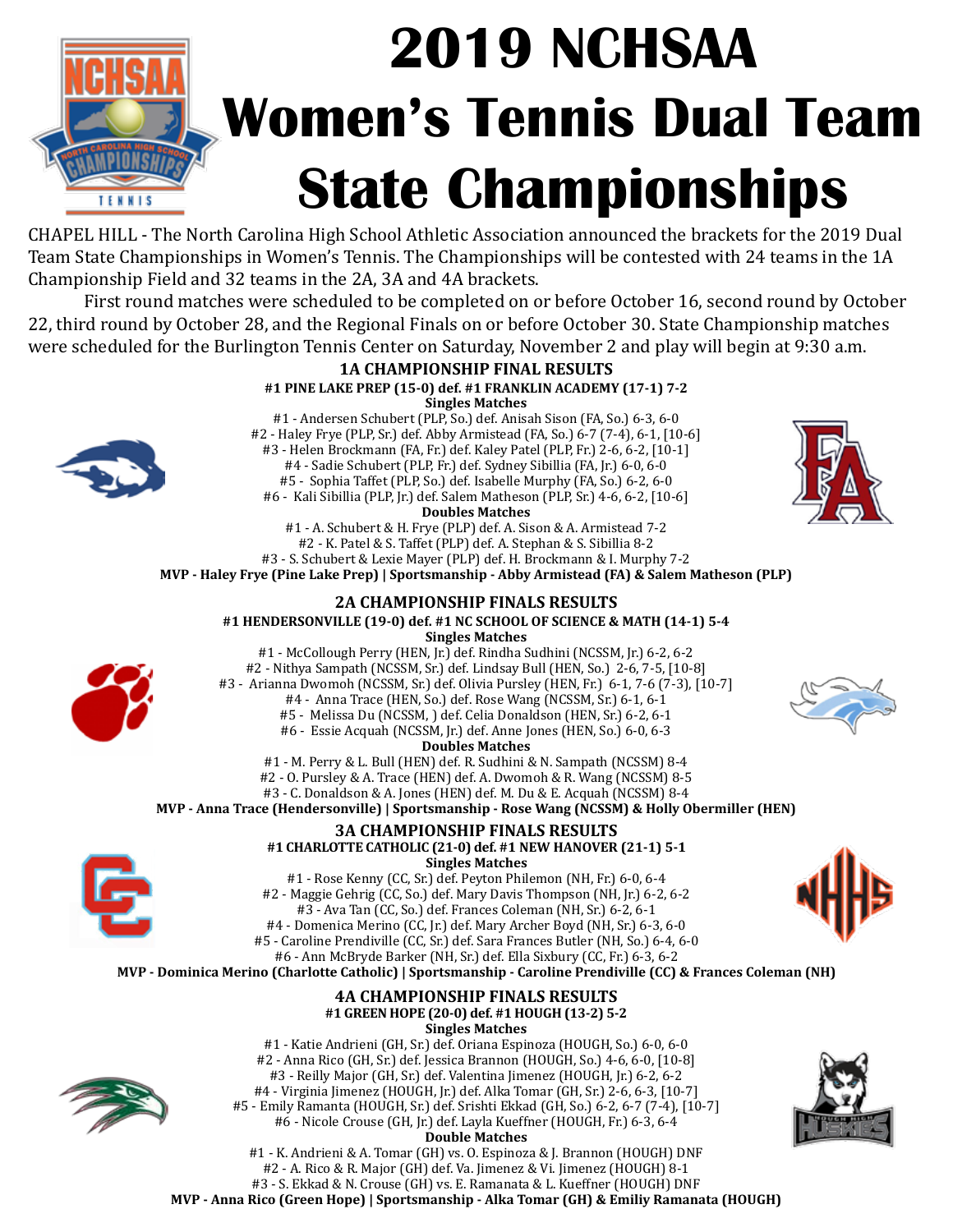

## **2019 NCHSAA Women's Tennis Dual Team State Championships**

CHAPEL HILL - The North Carolina High School Athletic Association announced the brackets for the 2019 Dual Team State Championships in Women's Tennis. The Championships will be contested with 24 teams in the 1A Championship Field and 32 teams in the 2A, 3A and 4A brackets.

First round matches were scheduled to be completed on or before October 16, second round by October 22, third round by October 28, and the Regional Finals on or before October 30. State Championship matches were scheduled for the Burlington Tennis Center on Saturday, November 2 and play will begin at 9:30 a.m.





#1 - K. Andrieni & A. Tomar (GH) vs. O. Espinoza & J. Brannon (HOUGH) DNF #2 - A. Rico & R. Major (GH) def. Va. Jimenez & Vi. Jimenez (HOUGH) 8-1 #3 - S. Ekkad & N. Crouse (GH) vs. E. Ramanata & L. Kueffner (HOUGH) DNF